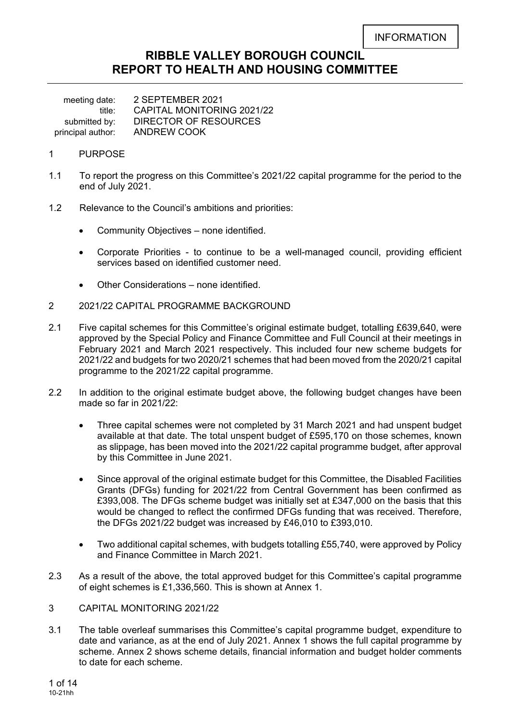# **RIBBLE VALLEY BOROUGH COUNCIL REPORT TO HEALTH AND HOUSING COMMITTEE**

meeting date: 2 SEPTEMBER 2021 title: CAPITAL MONITORING 2021/22<br>submitted by: DIRECTOR OF RESOURCES DIRECTOR OF RESOURCES principal author: ANDREW COOK

- 1 PURPOSE
- 1.1 To report the progress on this Committee's 2021/22 capital programme for the period to the end of July 2021.
- 1.2 Relevance to the Council's ambitions and priorities:
	- Community Objectives none identified.
	- Corporate Priorities to continue to be a well-managed council, providing efficient services based on identified customer need.
	- Other Considerations none identified.
- 2 2021/22 CAPITAL PROGRAMME BACKGROUND
- 2.1 Five capital schemes for this Committee's original estimate budget, totalling £639,640, were approved by the Special Policy and Finance Committee and Full Council at their meetings in February 2021 and March 2021 respectively. This included four new scheme budgets for 2021/22 and budgets for two 2020/21 schemes that had been moved from the 2020/21 capital programme to the 2021/22 capital programme.
- 2.2 In addition to the original estimate budget above, the following budget changes have been made so far in 2021/22:
	- Three capital schemes were not completed by 31 March 2021 and had unspent budget available at that date. The total unspent budget of £595,170 on those schemes, known as slippage, has been moved into the 2021/22 capital programme budget, after approval by this Committee in June 2021.
	- Since approval of the original estimate budget for this Committee, the Disabled Facilities Grants (DFGs) funding for 2021/22 from Central Government has been confirmed as £393,008. The DFGs scheme budget was initially set at £347,000 on the basis that this would be changed to reflect the confirmed DFGs funding that was received. Therefore, the DFGs 2021/22 budget was increased by £46,010 to £393,010.
	- Two additional capital schemes, with budgets totalling £55,740, were approved by Policy and Finance Committee in March 2021.
- 2.3 As a result of the above, the total approved budget for this Committee's capital programme of eight schemes is £1,336,560. This is shown at Annex 1.
- 3 CAPITAL MONITORING 2021/22
- 3.1 The table overleaf summarises this Committee's capital programme budget, expenditure to date and variance, as at the end of July 2021. Annex 1 shows the full capital programme by scheme. Annex 2 shows scheme details, financial information and budget holder comments to date for each scheme.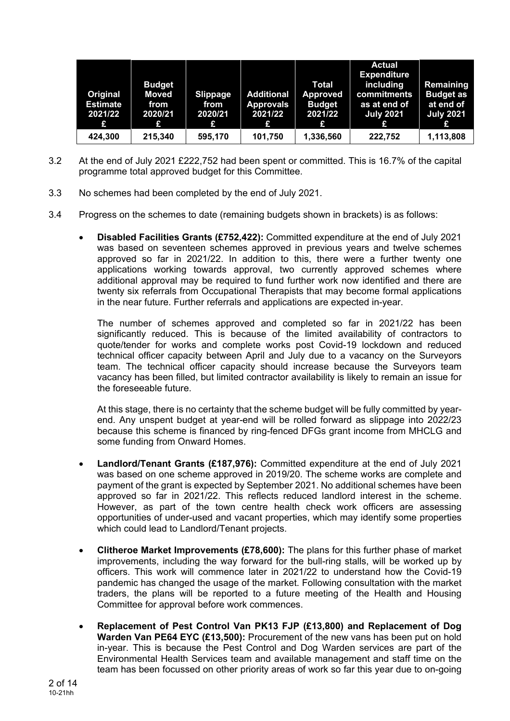| Original<br><b>Estimate</b><br>2021/22<br>£ | <b>Budget</b><br><b>Moved</b><br>from<br>2020/21<br>£ | <b>Slippage</b><br>from<br>2020/21<br>£ | <b>Additional</b><br><b>Approvals</b><br>2021/22<br>£ | <b>Total</b><br><b>Approved</b><br><b>Budget</b><br>2021/22<br>£ | <b>Actual</b><br><b>Expenditure</b><br>including<br>commitments<br>as at end of<br><b>July 2021</b><br>£ | Remaining<br><b>Budget as</b><br>at end of<br><b>July 2021</b><br>£ |
|---------------------------------------------|-------------------------------------------------------|-----------------------------------------|-------------------------------------------------------|------------------------------------------------------------------|----------------------------------------------------------------------------------------------------------|---------------------------------------------------------------------|
| 424,300                                     | 215,340                                               | 595,170                                 | 101,750                                               | 1,336,560                                                        | 222,752                                                                                                  | 1,113,808                                                           |

- 3.2 At the end of July 2021 £222,752 had been spent or committed. This is 16.7% of the capital programme total approved budget for this Committee.
- 3.3 No schemes had been completed by the end of July 2021.
- 3.4 Progress on the schemes to date (remaining budgets shown in brackets) is as follows:
	- **Disabled Facilities Grants (£752,422):** Committed expenditure at the end of July 2021 was based on seventeen schemes approved in previous years and twelve schemes approved so far in 2021/22. In addition to this, there were a further twenty one applications working towards approval, two currently approved schemes where additional approval may be required to fund further work now identified and there are twenty six referrals from Occupational Therapists that may become formal applications in the near future. Further referrals and applications are expected in-year.

The number of schemes approved and completed so far in 2021/22 has been significantly reduced. This is because of the limited availability of contractors to quote/tender for works and complete works post Covid-19 lockdown and reduced technical officer capacity between April and July due to a vacancy on the Surveyors team. The technical officer capacity should increase because the Surveyors team vacancy has been filled, but limited contractor availability is likely to remain an issue for the foreseeable future.

At this stage, there is no certainty that the scheme budget will be fully committed by yearend. Any unspent budget at year-end will be rolled forward as slippage into 2022/23 because this scheme is financed by ring-fenced DFGs grant income from MHCLG and some funding from Onward Homes.

- **Landlord/Tenant Grants (£187,976):** Committed expenditure at the end of July 2021 was based on one scheme approved in 2019/20. The scheme works are complete and payment of the grant is expected by September 2021. No additional schemes have been approved so far in 2021/22. This reflects reduced landlord interest in the scheme. However, as part of the town centre health check work officers are assessing opportunities of under-used and vacant properties, which may identify some properties which could lead to Landlord/Tenant projects.
- **Clitheroe Market Improvements (£78,600):** The plans for this further phase of market improvements, including the way forward for the bull-ring stalls, will be worked up by officers. This work will commence later in 2021/22 to understand how the Covid-19 pandemic has changed the usage of the market. Following consultation with the market traders, the plans will be reported to a future meeting of the Health and Housing Committee for approval before work commences.
- **Replacement of Pest Control Van PK13 FJP (£13,800) and Replacement of Dog Warden Van PE64 EYC (£13,500):** Procurement of the new vans has been put on hold in-year. This is because the Pest Control and Dog Warden services are part of the Environmental Health Services team and available management and staff time on the team has been focussed on other priority areas of work so far this year due to on-going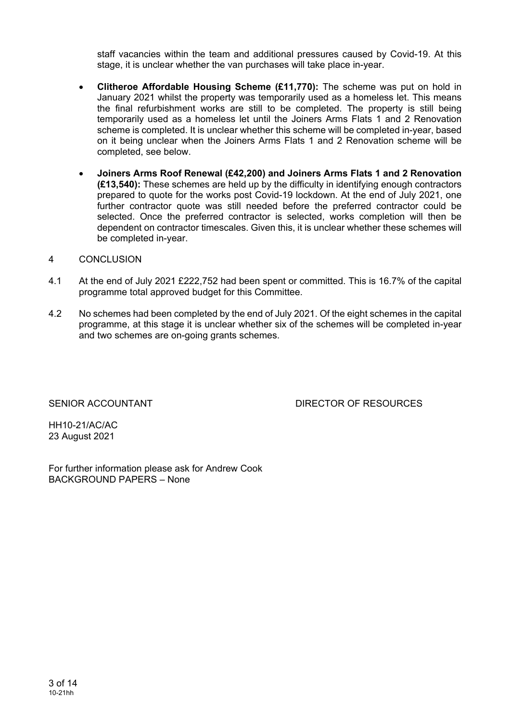staff vacancies within the team and additional pressures caused by Covid-19. At this stage, it is unclear whether the van purchases will take place in-year.

- **Clitheroe Affordable Housing Scheme (£11,770):** The scheme was put on hold in January 2021 whilst the property was temporarily used as a homeless let. This means the final refurbishment works are still to be completed. The property is still being temporarily used as a homeless let until the Joiners Arms Flats 1 and 2 Renovation scheme is completed. It is unclear whether this scheme will be completed in-year, based on it being unclear when the Joiners Arms Flats 1 and 2 Renovation scheme will be completed, see below.
- **Joiners Arms Roof Renewal (£42,200) and Joiners Arms Flats 1 and 2 Renovation (£13,540):** These schemes are held up by the difficulty in identifying enough contractors prepared to quote for the works post Covid-19 lockdown. At the end of July 2021, one further contractor quote was still needed before the preferred contractor could be selected. Once the preferred contractor is selected, works completion will then be dependent on contractor timescales. Given this, it is unclear whether these schemes will be completed in-year.

### 4 CONCLUSION

- 4.1 At the end of July 2021 £222,752 had been spent or committed. This is 16.7% of the capital programme total approved budget for this Committee.
- 4.2 No schemes had been completed by the end of July 2021. Of the eight schemes in the capital programme, at this stage it is unclear whether six of the schemes will be completed in-year and two schemes are on-going grants schemes.

SENIOR ACCOUNTANT DIRECTOR OF RESOURCES

HH10-21/AC/AC 23 August 2021

For further information please ask for Andrew Cook BACKGROUND PAPERS – None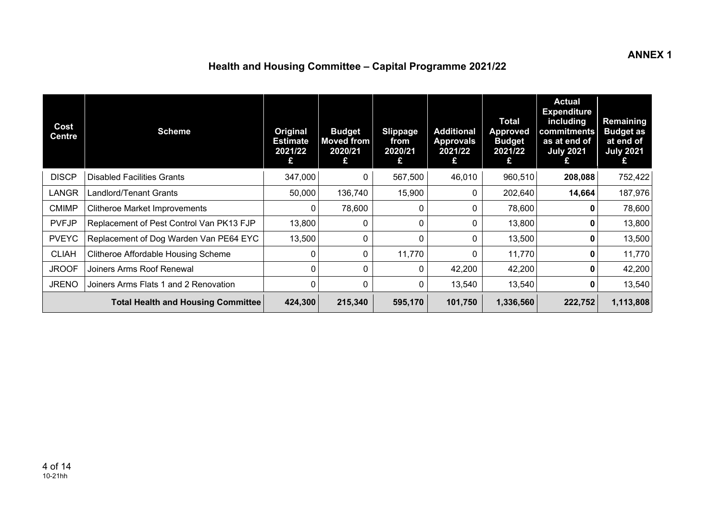# **Health and Housing Committee – Capital Programme 2021/22**

| Cost<br><b>Centre</b> | <b>Scheme</b>                             | Original<br><b>Estimate</b><br>2021/22<br>£ | <b>Budget</b><br><b>Moved from</b><br>2020/21<br>£ | <b>Slippage</b><br>from<br>2020/21<br>£ | <b>Additional</b><br><b>Approvals</b><br>2021/22<br>£ | <b>Total</b><br><b>Approved</b><br><b>Budget</b><br>2021/22<br>£ | <b>Actual</b><br><b>Expenditure</b><br>including<br>commitments<br>as at end of<br><b>July 2021</b><br>£ | Remaining<br><b>Budget as</b><br>at end of<br><b>July 2021</b><br>£ |
|-----------------------|-------------------------------------------|---------------------------------------------|----------------------------------------------------|-----------------------------------------|-------------------------------------------------------|------------------------------------------------------------------|----------------------------------------------------------------------------------------------------------|---------------------------------------------------------------------|
| <b>DISCP</b>          | <b>Disabled Facilities Grants</b>         | 347,000                                     | 0                                                  | 567,500                                 | 46,010                                                | 960,510                                                          | 208,088                                                                                                  | 752,422                                                             |
| LANGR                 | Landlord/Tenant Grants                    | 50,000                                      | 136,740                                            | 15,900                                  |                                                       | 202,640                                                          | 14,664                                                                                                   | 187,976                                                             |
| <b>CMIMP</b>          | <b>Clitheroe Market Improvements</b>      |                                             | 78,600                                             | 0                                       | 0                                                     | 78,600                                                           | 0                                                                                                        | 78,600                                                              |
| <b>PVFJP</b>          | Replacement of Pest Control Van PK13 FJP  | 13,800                                      | 0                                                  | $\mathbf{0}$                            | 0                                                     | 13,800                                                           | 0                                                                                                        | 13,800                                                              |
| <b>PVEYC</b>          | Replacement of Dog Warden Van PE64 EYC    | 13,500                                      | 0                                                  | $\mathbf{0}$                            |                                                       | 13,500                                                           | 0                                                                                                        | 13,500                                                              |
| <b>CLIAH</b>          | Clitheroe Affordable Housing Scheme       |                                             | 0                                                  | 11,770                                  | 0                                                     | 11,770                                                           | 0                                                                                                        | 11,770                                                              |
| <b>JROOF</b>          | Joiners Arms Roof Renewal                 |                                             | 0                                                  | $\mathbf{0}$                            | 42,200                                                | 42,200                                                           | 0                                                                                                        | 42,200                                                              |
| <b>JRENO</b>          | Joiners Arms Flats 1 and 2 Renovation     |                                             | 0                                                  | $\mathbf{0}$                            | 13,540                                                | 13,540                                                           | 0                                                                                                        | 13,540                                                              |
|                       | <b>Total Health and Housing Committee</b> | 424,300                                     | 215,340                                            | 595,170                                 | 101,750                                               | 1,336,560                                                        | 222,752                                                                                                  | 1,113,808                                                           |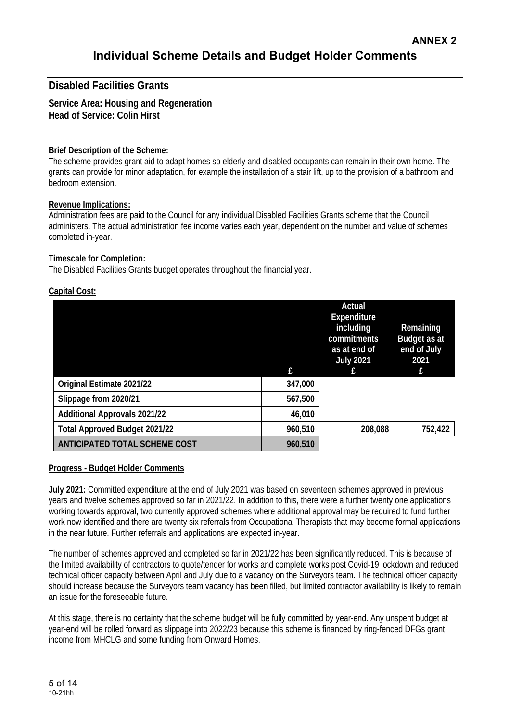## **Disabled Facilities Grants**

#### **Service Area: Housing and Regeneration Head of Service: Colin Hirst**

### **Brief Description of the Scheme:**

The scheme provides grant aid to adapt homes so elderly and disabled occupants can remain in their own home. The grants can provide for minor adaptation, for example the installation of a stair lift, up to the provision of a bathroom and bedroom extension.

### **Revenue Implications:**

Administration fees are paid to the Council for any individual Disabled Facilities Grants scheme that the Council administers. The actual administration fee income varies each year, dependent on the number and value of schemes completed in-year.

### **Timescale for Completion:**

The Disabled Facilities Grants budget operates throughout the financial year.

## **Capital Cost:**

|                                      |         | Actual<br><b>Expenditure</b><br>including<br>commitments<br>as at end of<br><b>July 2021</b> | Remaining<br>Budget as at<br>end of July<br>2021<br>f |
|--------------------------------------|---------|----------------------------------------------------------------------------------------------|-------------------------------------------------------|
| Original Estimate 2021/22            | 347,000 |                                                                                              |                                                       |
| Slippage from 2020/21                | 567,500 |                                                                                              |                                                       |
| <b>Additional Approvals 2021/22</b>  | 46,010  |                                                                                              |                                                       |
| <b>Total Approved Budget 2021/22</b> | 960,510 | 208,088                                                                                      | 752,422                                               |
| ANTICIPATED TOTAL SCHEME COST        | 960,510 |                                                                                              |                                                       |

## **Progress - Budget Holder Comments**

**July 2021:** Committed expenditure at the end of July 2021 was based on seventeen schemes approved in previous years and twelve schemes approved so far in 2021/22. In addition to this, there were a further twenty one applications working towards approval, two currently approved schemes where additional approval may be required to fund further work now identified and there are twenty six referrals from Occupational Therapists that may become formal applications in the near future. Further referrals and applications are expected in-year.

The number of schemes approved and completed so far in 2021/22 has been significantly reduced. This is because of the limited availability of contractors to quote/tender for works and complete works post Covid-19 lockdown and reduced technical officer capacity between April and July due to a vacancy on the Surveyors team. The technical officer capacity should increase because the Surveyors team vacancy has been filled, but limited contractor availability is likely to remain an issue for the foreseeable future.

At this stage, there is no certainty that the scheme budget will be fully committed by year-end. Any unspent budget at year-end will be rolled forward as slippage into 2022/23 because this scheme is financed by ring-fenced DFGs grant income from MHCLG and some funding from Onward Homes.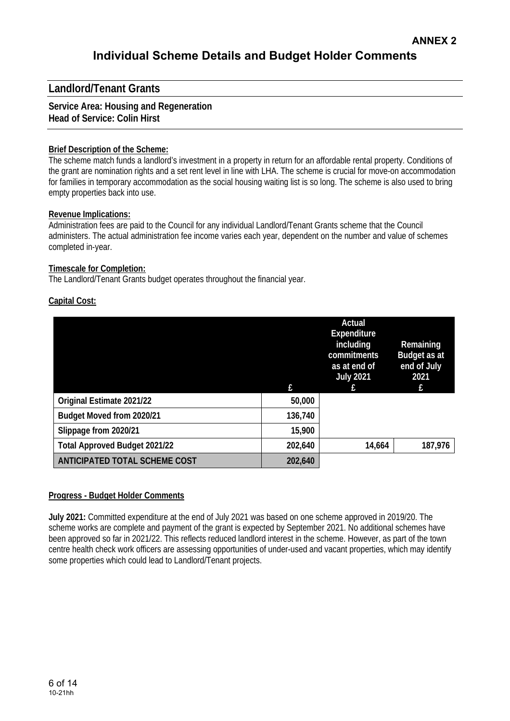# **Landlord/Tenant Grants**

## **Service Area: Housing and Regeneration Head of Service: Colin Hirst**

## **Brief Description of the Scheme:**

The scheme match funds a landlord's investment in a property in return for an affordable rental property. Conditions of the grant are nomination rights and a set rent level in line with LHA. The scheme is crucial for move-on accommodation for families in temporary accommodation as the social housing waiting list is so long. The scheme is also used to bring empty properties back into use.

### **Revenue Implications:**

Administration fees are paid to the Council for any individual Landlord/Tenant Grants scheme that the Council administers. The actual administration fee income varies each year, dependent on the number and value of schemes completed in-year.

### **Timescale for Completion:**

The Landlord/Tenant Grants budget operates throughout the financial year.

### **Capital Cost:**

|                                      |         | Actual<br>Expenditure<br>including<br>commitments<br>as at end of<br><b>July 2021</b> | Remaining<br>Budget as at<br>end of July<br>2021 |
|--------------------------------------|---------|---------------------------------------------------------------------------------------|--------------------------------------------------|
|                                      | f.      |                                                                                       | £                                                |
| Original Estimate 2021/22            | 50,000  |                                                                                       |                                                  |
| Budget Moved from 2020/21            | 136,740 |                                                                                       |                                                  |
| Slippage from 2020/21                | 15,900  |                                                                                       |                                                  |
| <b>Total Approved Budget 2021/22</b> | 202,640 | 14,664                                                                                | 187,976                                          |
| ANTICIPATED TOTAL SCHEME COST        | 202,640 |                                                                                       |                                                  |

### **Progress - Budget Holder Comments**

**July 2021:** Committed expenditure at the end of July 2021 was based on one scheme approved in 2019/20. The scheme works are complete and payment of the grant is expected by September 2021. No additional schemes have been approved so far in 2021/22. This reflects reduced landlord interest in the scheme. However, as part of the town centre health check work officers are assessing opportunities of under-used and vacant properties, which may identify some properties which could lead to Landlord/Tenant projects.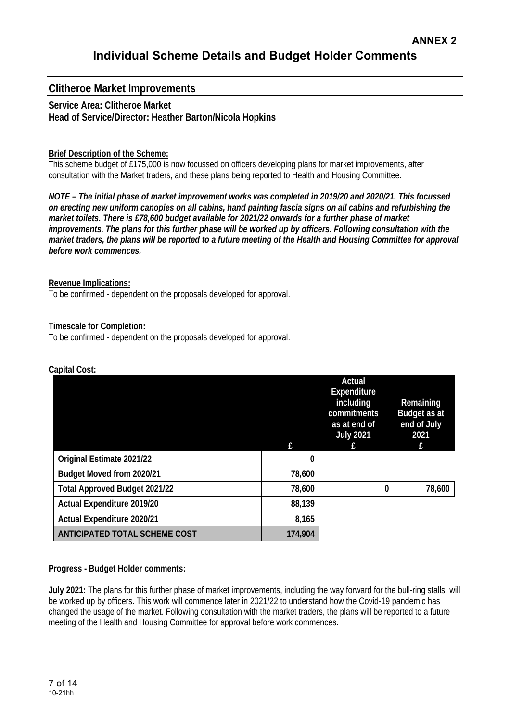## **Clitheroe Market Improvements**

### **Service Area: Clitheroe Market Head of Service/Director: Heather Barton/Nicola Hopkins**

### **Brief Description of the Scheme:**

This scheme budget of £175,000 is now focussed on officers developing plans for market improvements, after consultation with the Market traders, and these plans being reported to Health and Housing Committee.

*NOTE – The initial phase of market improvement works was completed in 2019/20 and 2020/21. This focussed on erecting new uniform canopies on all cabins, hand painting fascia signs on all cabins and refurbishing the market toilets. There is £78,600 budget available for 2021/22 onwards for a further phase of market improvements. The plans for this further phase will be worked up by officers. Following consultation with the market traders, the plans will be reported to a future meeting of the Health and Housing Committee for approval before work commences.* 

#### **Revenue Implications:**

To be confirmed - dependent on the proposals developed for approval.

### **Timescale for Completion:**

To be confirmed - dependent on the proposals developed for approval.

|                                      |         | Actual<br>Expenditure<br>including<br>commitments<br>as at end of | Remaining<br>Budget as at<br>end of July |
|--------------------------------------|---------|-------------------------------------------------------------------|------------------------------------------|
|                                      | f       | <b>July 2021</b>                                                  | 2021<br>£                                |
| Original Estimate 2021/22            | 0       |                                                                   |                                          |
| Budget Moved from 2020/21            | 78,600  |                                                                   |                                          |
| <b>Total Approved Budget 2021/22</b> | 78,600  | 0                                                                 | 78,600                                   |
| Actual Expenditure 2019/20           | 88,139  |                                                                   |                                          |
| Actual Expenditure 2020/21           | 8,165   |                                                                   |                                          |
| <b>ANTICIPATED TOTAL SCHEME COST</b> | 174,904 |                                                                   |                                          |

### **Capital Cost:**

#### **Progress - Budget Holder comments:**

**July 2021:** The plans for this further phase of market improvements, including the way forward for the bull-ring stalls, will be worked up by officers. This work will commence later in 2021/22 to understand how the Covid-19 pandemic has changed the usage of the market. Following consultation with the market traders, the plans will be reported to a future meeting of the Health and Housing Committee for approval before work commences.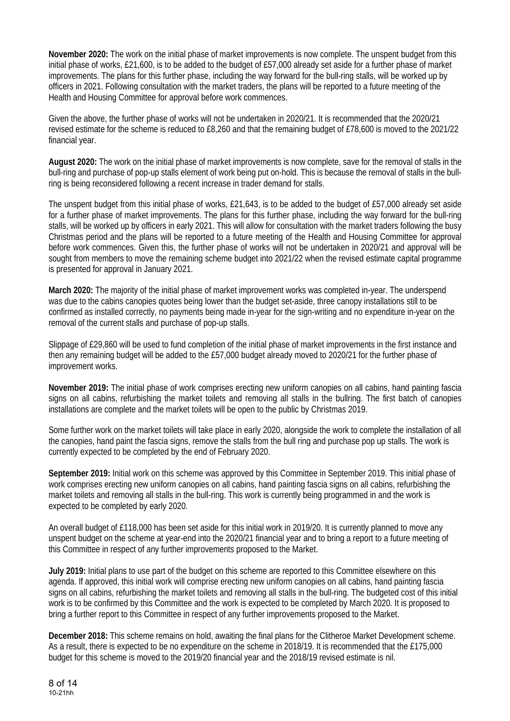**November 2020:** The work on the initial phase of market improvements is now complete. The unspent budget from this initial phase of works, £21,600, is to be added to the budget of £57,000 already set aside for a further phase of market improvements. The plans for this further phase, including the way forward for the bull-ring stalls, will be worked up by officers in 2021. Following consultation with the market traders, the plans will be reported to a future meeting of the Health and Housing Committee for approval before work commences.

Given the above, the further phase of works will not be undertaken in 2020/21. It is recommended that the 2020/21 revised estimate for the scheme is reduced to £8,260 and that the remaining budget of £78,600 is moved to the 2021/22 financial year.

**August 2020:** The work on the initial phase of market improvements is now complete, save for the removal of stalls in the bull-ring and purchase of pop-up stalls element of work being put on-hold. This is because the removal of stalls in the bullring is being reconsidered following a recent increase in trader demand for stalls.

The unspent budget from this initial phase of works, £21,643, is to be added to the budget of £57,000 already set aside for a further phase of market improvements. The plans for this further phase, including the way forward for the bull-ring stalls, will be worked up by officers in early 2021. This will allow for consultation with the market traders following the busy Christmas period and the plans will be reported to a future meeting of the Health and Housing Committee for approval before work commences. Given this, the further phase of works will not be undertaken in 2020/21 and approval will be sought from members to move the remaining scheme budget into 2021/22 when the revised estimate capital programme is presented for approval in January 2021.

**March 2020:** The majority of the initial phase of market improvement works was completed in-year. The underspend was due to the cabins canopies quotes being lower than the budget set-aside, three canopy installations still to be confirmed as installed correctly, no payments being made in-year for the sign-writing and no expenditure in-year on the removal of the current stalls and purchase of pop-up stalls.

Slippage of £29,860 will be used to fund completion of the initial phase of market improvements in the first instance and then any remaining budget will be added to the £57,000 budget already moved to 2020/21 for the further phase of improvement works.

**November 2019:** The initial phase of work comprises erecting new uniform canopies on all cabins, hand painting fascia signs on all cabins, refurbishing the market toilets and removing all stalls in the bullring. The first batch of canopies installations are complete and the market toilets will be open to the public by Christmas 2019.

Some further work on the market toilets will take place in early 2020, alongside the work to complete the installation of all the canopies, hand paint the fascia signs, remove the stalls from the bull ring and purchase pop up stalls. The work is currently expected to be completed by the end of February 2020.

**September 2019:** Initial work on this scheme was approved by this Committee in September 2019. This initial phase of work comprises erecting new uniform canopies on all cabins, hand painting fascia signs on all cabins, refurbishing the market toilets and removing all stalls in the bull-ring. This work is currently being programmed in and the work is expected to be completed by early 2020.

An overall budget of £118,000 has been set aside for this initial work in 2019/20. It is currently planned to move any unspent budget on the scheme at year-end into the 2020/21 financial year and to bring a report to a future meeting of this Committee in respect of any further improvements proposed to the Market.

**July 2019:** Initial plans to use part of the budget on this scheme are reported to this Committee elsewhere on this agenda. If approved, this initial work will comprise erecting new uniform canopies on all cabins, hand painting fascia signs on all cabins, refurbishing the market toilets and removing all stalls in the bull-ring. The budgeted cost of this initial work is to be confirmed by this Committee and the work is expected to be completed by March 2020. It is proposed to bring a further report to this Committee in respect of any further improvements proposed to the Market.

**December 2018:** This scheme remains on hold, awaiting the final plans for the Clitheroe Market Development scheme. As a result, there is expected to be no expenditure on the scheme in 2018/19. It is recommended that the £175,000 budget for this scheme is moved to the 2019/20 financial year and the 2018/19 revised estimate is nil.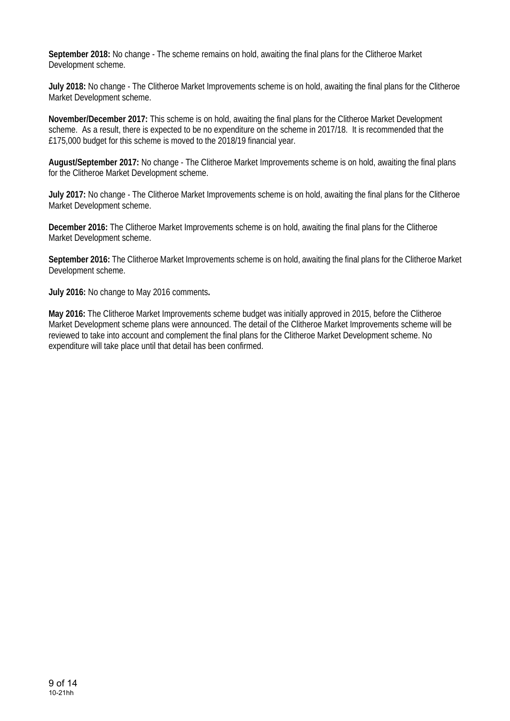**September 2018:** No change - The scheme remains on hold, awaiting the final plans for the Clitheroe Market Development scheme.

**July 2018:** No change - The Clitheroe Market Improvements scheme is on hold, awaiting the final plans for the Clitheroe Market Development scheme.

**November/December 2017:** This scheme is on hold, awaiting the final plans for the Clitheroe Market Development scheme. As a result, there is expected to be no expenditure on the scheme in 2017/18. It is recommended that the £175,000 budget for this scheme is moved to the 2018/19 financial year.

**August/September 2017:** No change - The Clitheroe Market Improvements scheme is on hold, awaiting the final plans for the Clitheroe Market Development scheme.

**July 2017:** No change - The Clitheroe Market Improvements scheme is on hold, awaiting the final plans for the Clitheroe Market Development scheme.

**December 2016:** The Clitheroe Market Improvements scheme is on hold, awaiting the final plans for the Clitheroe Market Development scheme.

**September 2016:** The Clitheroe Market Improvements scheme is on hold, awaiting the final plans for the Clitheroe Market Development scheme.

**July 2016:** No change to May 2016 comments**.** 

**May 2016:** The Clitheroe Market Improvements scheme budget was initially approved in 2015, before the Clitheroe Market Development scheme plans were announced. The detail of the Clitheroe Market Improvements scheme will be reviewed to take into account and complement the final plans for the Clitheroe Market Development scheme. No expenditure will take place until that detail has been confirmed.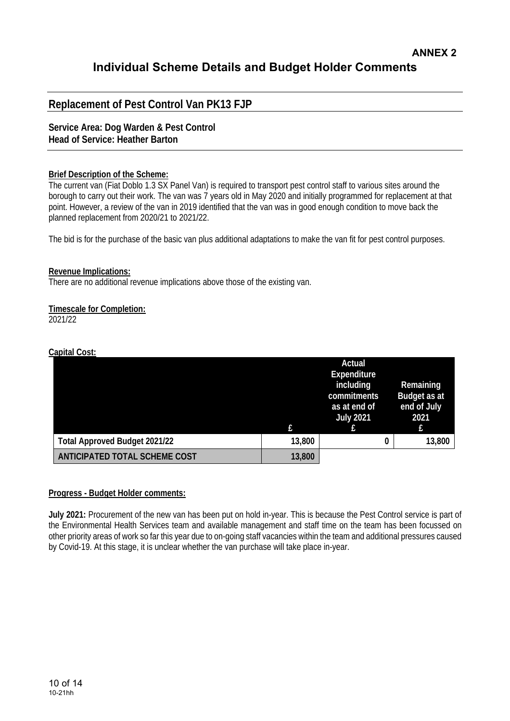# **Replacement of Pest Control Van PK13 FJP**

**Service Area: Dog Warden & Pest Control Head of Service: Heather Barton** 

### **Brief Description of the Scheme:**

The current van (Fiat Doblo 1.3 SX Panel Van) is required to transport pest control staff to various sites around the borough to carry out their work. The van was 7 years old in May 2020 and initially programmed for replacement at that point. However, a review of the van in 2019 identified that the van was in good enough condition to move back the planned replacement from 2020/21 to 2021/22.

The bid is for the purchase of the basic van plus additional adaptations to make the van fit for pest control purposes.

### **Revenue Implications:**

There are no additional revenue implications above those of the existing van.

## **Timescale for Completion:**

2021/22

## **Capital Cost:**

|                                      | £      | Actual<br>Expenditure<br>including<br>commitments<br>as at end of<br><b>July 2021</b> | Remaining<br>Budget as at<br>end of July<br>2021<br>£ |
|--------------------------------------|--------|---------------------------------------------------------------------------------------|-------------------------------------------------------|
| <b>Total Approved Budget 2021/22</b> | 13,800 | 0                                                                                     | 13,800                                                |
| <b>ANTICIPATED TOTAL SCHEME COST</b> | 13,800 |                                                                                       |                                                       |

### **Progress - Budget Holder comments:**

**July 2021:** Procurement of the new van has been put on hold in-year. This is because the Pest Control service is part of the Environmental Health Services team and available management and staff time on the team has been focussed on other priority areas of work so far this year due to on-going staff vacancies within the team and additional pressures caused by Covid-19. At this stage, it is unclear whether the van purchase will take place in-year.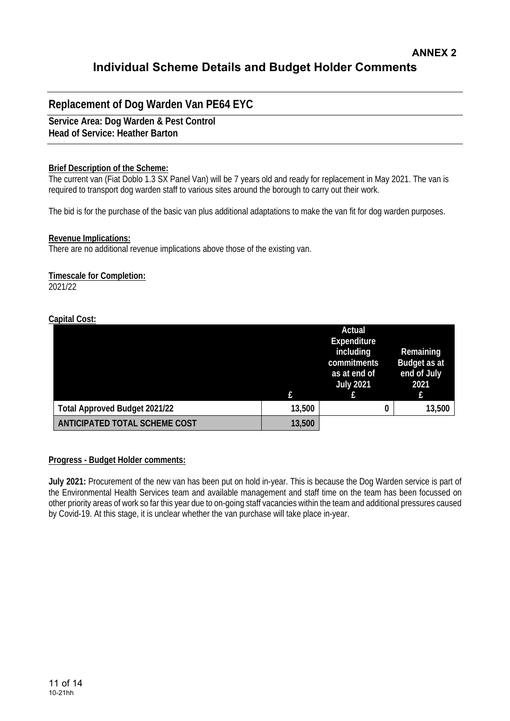# **Replacement of Dog Warden Van PE64 EYC**

**Service Area: Dog Warden & Pest Control Head of Service: Heather Barton** 

### **Brief Description of the Scheme:**

The current van (Fiat Doblo 1.3 SX Panel Van) will be 7 years old and ready for replacement in May 2021. The van is required to transport dog warden staff to various sites around the borough to carry out their work.

The bid is for the purchase of the basic van plus additional adaptations to make the van fit for dog warden purposes.

### **Revenue Implications:**

There are no additional revenue implications above those of the existing van.

### **Timescale for Completion:**

2021/22

### **Capital Cost:**

|                                      |        | Actual<br>Expenditure<br>including<br>commitments<br>as at end of<br><b>July 2021</b> | Remaining<br>Budget as at<br>end of July<br>2021<br>£ |
|--------------------------------------|--------|---------------------------------------------------------------------------------------|-------------------------------------------------------|
| <b>Total Approved Budget 2021/22</b> | 13,500 | 0                                                                                     | 13,500                                                |
| <b>ANTICIPATED TOTAL SCHEME COST</b> | 13,500 |                                                                                       |                                                       |

### **Progress - Budget Holder comments:**

**July 2021:** Procurement of the new van has been put on hold in-year. This is because the Dog Warden service is part of the Environmental Health Services team and available management and staff time on the team has been focussed on other priority areas of work so far this year due to on-going staff vacancies within the team and additional pressures caused by Covid-19. At this stage, it is unclear whether the van purchase will take place in-year.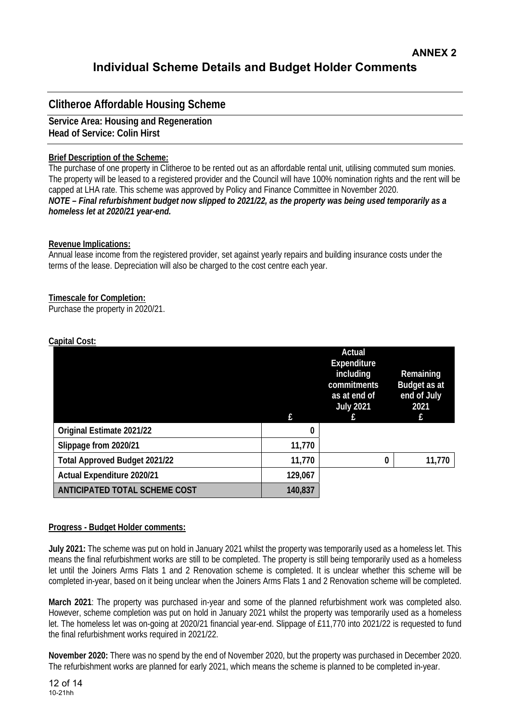# **Clitheroe Affordable Housing Scheme**

**Service Area: Housing and Regeneration Head of Service: Colin Hirst** 

## **Brief Description of the Scheme:**

The purchase of one property in Clitheroe to be rented out as an affordable rental unit, utilising commuted sum monies. The property will be leased to a registered provider and the Council will have 100% nomination rights and the rent will be capped at LHA rate. This scheme was approved by Policy and Finance Committee in November 2020. *NOTE – Final refurbishment budget now slipped to 2021/22, as the property was being used temporarily as a homeless let at 2020/21 year-end.* 

## **Revenue Implications:**

Annual lease income from the registered provider, set against yearly repairs and building insurance costs under the terms of the lease. Depreciation will also be charged to the cost centre each year.

## **Timescale for Completion:**

Purchase the property in 2020/21.

|                                      | f.      | Actual<br><b>Expenditure</b><br>including<br>commitments<br>as at end of<br><b>July 2021</b> | Remaining<br>Budget as at<br>end of July<br>2021<br>f |
|--------------------------------------|---------|----------------------------------------------------------------------------------------------|-------------------------------------------------------|
| Original Estimate 2021/22            | 0       |                                                                                              |                                                       |
| Slippage from 2020/21                | 11,770  |                                                                                              |                                                       |
| <b>Total Approved Budget 2021/22</b> | 11,770  | 0                                                                                            | 11,770                                                |
| <b>Actual Expenditure 2020/21</b>    | 129,067 |                                                                                              |                                                       |
| <b>ANTICIPATED TOTAL SCHEME COST</b> | 140,837 |                                                                                              |                                                       |

## **Capital Cost:**

## **Progress - Budget Holder comments:**

**July 2021:** The scheme was put on hold in January 2021 whilst the property was temporarily used as a homeless let. This means the final refurbishment works are still to be completed. The property is still being temporarily used as a homeless let until the Joiners Arms Flats 1 and 2 Renovation scheme is completed. It is unclear whether this scheme will be completed in-year, based on it being unclear when the Joiners Arms Flats 1 and 2 Renovation scheme will be completed.

**March 2021**: The property was purchased in-year and some of the planned refurbishment work was completed also. However, scheme completion was put on hold in January 2021 whilst the property was temporarily used as a homeless let. The homeless let was on-going at 2020/21 financial year-end. Slippage of £11,770 into 2021/22 is requested to fund the final refurbishment works required in 2021/22.

**November 2020:** There was no spend by the end of November 2020, but the property was purchased in December 2020. The refurbishment works are planned for early 2021, which means the scheme is planned to be completed in-year.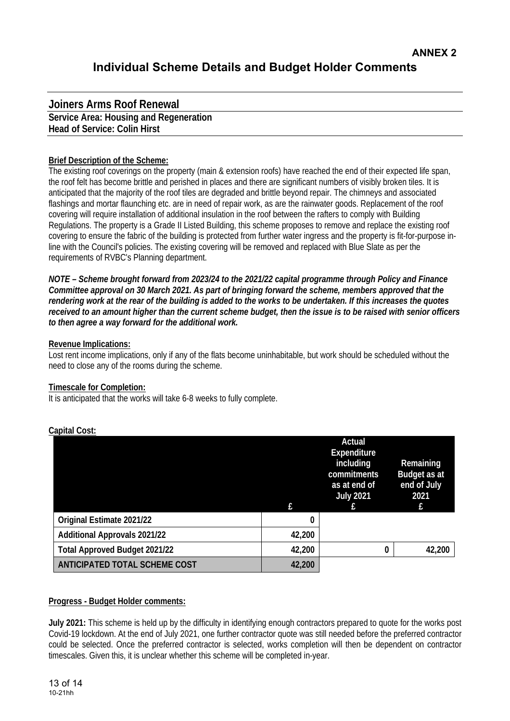# **Joiners Arms Roof Renewal Service Area: Housing and Regeneration Head of Service: Colin Hirst**

## **Brief Description of the Scheme:**

The existing roof coverings on the property (main & extension roofs) have reached the end of their expected life span, the roof felt has become brittle and perished in places and there are significant numbers of visibly broken tiles. It is anticipated that the majority of the roof tiles are degraded and brittle beyond repair. The chimneys and associated flashings and mortar flaunching etc. are in need of repair work, as are the rainwater goods. Replacement of the roof covering will require installation of additional insulation in the roof between the rafters to comply with Building Regulations. The property is a Grade II Listed Building, this scheme proposes to remove and replace the existing roof covering to ensure the fabric of the building is protected from further water ingress and the property is fit-for-purpose inline with the Council's policies. The existing covering will be removed and replaced with Blue Slate as per the requirements of RVBC's Planning department.

*NOTE – Scheme brought forward from 2023/24 to the 2021/22 capital programme through Policy and Finance Committee approval on 30 March 2021. As part of bringing forward the scheme, members approved that the rendering work at the rear of the building is added to the works to be undertaken. If this increases the quotes received to an amount higher than the current scheme budget, then the issue is to be raised with senior officers to then agree a way forward for the additional work.* 

### **Revenue Implications:**

Lost rent income implications, only if any of the flats become uninhabitable, but work should be scheduled without the need to close any of the rooms during the scheme.

## **Timescale for Completion:**

It is anticipated that the works will take 6-8 weeks to fully complete.

|                                      |        | Actual<br>Expenditure<br>including<br>commitments<br>as at end of<br><b>July 2021</b> | Remaining<br>Budget as at<br>end of July<br>2021 |
|--------------------------------------|--------|---------------------------------------------------------------------------------------|--------------------------------------------------|
|                                      |        |                                                                                       | £                                                |
| Original Estimate 2021/22            | 0      |                                                                                       |                                                  |
| <b>Additional Approvals 2021/22</b>  | 42,200 |                                                                                       |                                                  |
| <b>Total Approved Budget 2021/22</b> | 42,200 | 0                                                                                     | 42,200                                           |
| <b>ANTICIPATED TOTAL SCHEME COST</b> | 42,200 |                                                                                       |                                                  |

## **Capital Cost:**

## **Progress - Budget Holder comments:**

**July 2021:** This scheme is held up by the difficulty in identifying enough contractors prepared to quote for the works post Covid-19 lockdown. At the end of July 2021, one further contractor quote was still needed before the preferred contractor could be selected. Once the preferred contractor is selected, works completion will then be dependent on contractor timescales. Given this, it is unclear whether this scheme will be completed in-year.